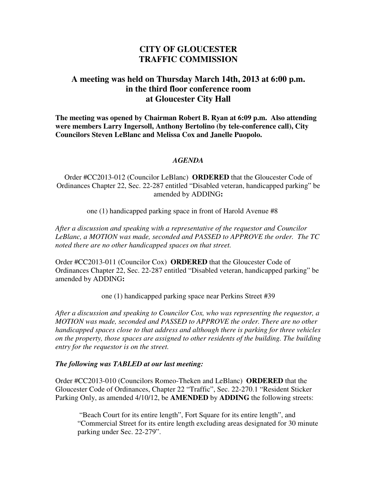## **CITY OF GLOUCESTER TRAFFIC COMMISSION**

## **A meeting was held on Thursday March 14th, 2013 at 6:00 p.m. in the third floor conference room at Gloucester City Hall**

**The meeting was opened by Chairman Robert B. Ryan at 6:09 p.m. Also attending were members Larry Ingersoll, Anthony Bertolino (by tele-conference call), City Councilors Steven LeBlanc and Melissa Cox and Janelle Puopolo.** 

## *AGENDA*

Order #CC2013-012 (Councilor LeBlanc) **ORDERED** that the Gloucester Code of Ordinances Chapter 22, Sec. 22-287 entitled "Disabled veteran, handicapped parking" be amended by ADDING**:**

one (1) handicapped parking space in front of Harold Avenue #8

*After a discussion and speaking with a representative of the requestor and Councilor LeBlanc, a MOTION was made, seconded and PASSED to APPROVE the order. The TC noted there are no other handicapped spaces on that street.* 

Order #CC2013-011 (Councilor Cox) **ORDERED** that the Gloucester Code of Ordinances Chapter 22, Sec. 22-287 entitled "Disabled veteran, handicapped parking" be amended by ADDING**:**

one (1) handicapped parking space near Perkins Street #39

*After a discussion and speaking to Councilor Cox, who was representing the requestor, a MOTION was made, seconded and PASSED to APPROVE the order. There are no other handicapped spaces close to that address and although there is parking for three vehicles on the property, those spaces are assigned to other residents of the building. The building entry for the requestor is on the street.* 

## *The following was TABLED at our last meeting:*

Order #CC2013-010 (Councilors Romeo-Theken and LeBlanc) **ORDERED** that the Gloucester Code of Ordinances, Chapter 22 "Traffic", Sec. 22-270.1 "Resident Sticker Parking Only, as amended 4/10/12, be **AMENDED** by **ADDING** the following streets:

 "Beach Court for its entire length", Fort Square for its entire length", and "Commercial Street for its entire length excluding areas designated for 30 minute parking under Sec. 22-279".